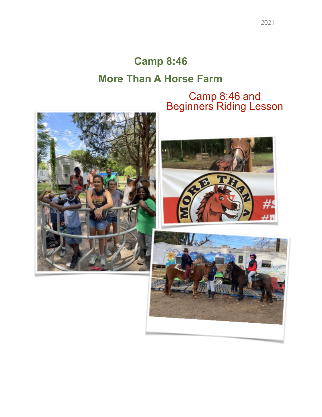## **Camp 8:46 More Than A Horse Farm**

Camp 8:46 and Beginners Riding Lesson





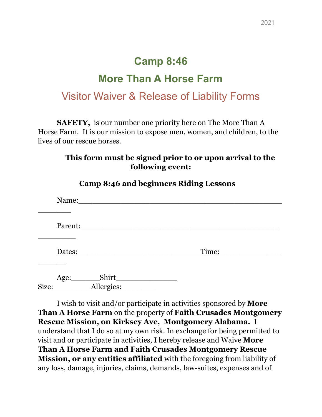## **Camp 8:46 More Than A Horse Farm** Visitor Waiver & Release of Liability Forms

**SAFETY,** is our number one priority here on The More Than A Horse Farm. It is our mission to expose men, women, and children, to the lives of our rescue horses.

#### **This form must be signed prior to or upon arrival to the following event:**

| Name:                                 |       |
|---------------------------------------|-------|
| Parent:                               |       |
| Dates:                                | Time: |
| Shirt_<br>Age:<br>Allergies:<br>Size: |       |

**Camp 8:46 and beginners Riding Lessons**

I wish to visit and/or participate in activities sponsored by **More Than A Horse Farm** on the property of **Faith Crusades Montgomery Rescue Mission, on Kirksey Ave, Montgomery Alabama.** I understand that I do so at my own risk. In exchange for being permitted to visit and or participate in activities, I hereby release and Waive **More Than A Horse Farm and Faith Crusades Montgomery Rescue Mission, or any entities affiliated** with the foregoing from liability of any loss, damage, injuries, claims, demands, law-suites, expenses and of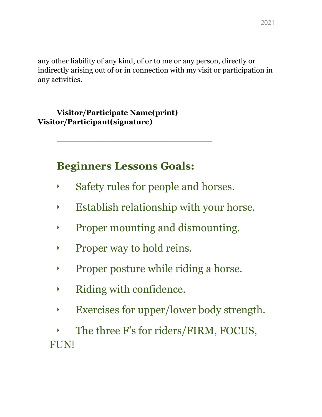any other liability of any kind, of or to me or any person, directly or indirectly arising out of or in connection with my visit or participation in any activities.

#### **Visitor/Participate Name(print) Visitor/Participant(signature)**

**\_\_\_\_\_\_\_\_\_\_\_\_\_\_\_\_\_\_\_\_\_\_\_\_\_\_\_\_**

### **Beginners Lessons Goals:**

**\_\_\_\_\_\_\_\_\_\_\_\_\_\_\_\_\_\_\_\_\_\_\_\_\_\_\_\_\_\_**

- ‣ Safety rules for people and horses.
- ‣ Establish relationship with your horse.
- ‣ Proper mounting and dismounting.
- ‣ Proper way to hold reins.
- ‣ Proper posture while riding a horse.
- ‣ Riding with confidence.
- ‣ Exercises for upper/lower body strength.

The three F's for riders/FIRM, FOCUS, FUN!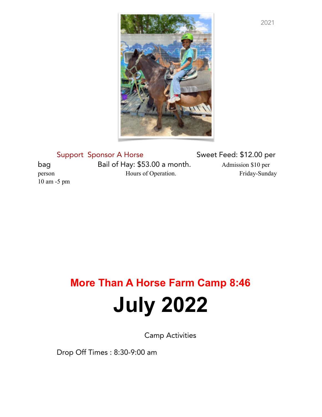

Support Sponsor A Horse Sweet Feed: \$12.00 per bag Bail of Hay: \$53.00 a month. Admission \$10 per person Hours of Operation. Friday-Sunday 10 am -5 pm

# **More Than A Horse Farm Camp 8:46 July 2022**

Camp Activities

Drop Off Times : 8:30-9:00 am

2021